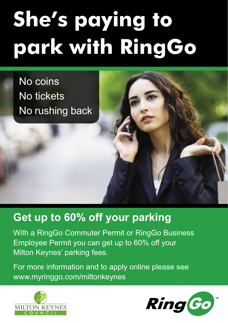# **She's paying to park with RingGo**

No coins No tickets No rushing back

## **Get up to 60% off your parking**

With a RingGo Commuter Permit or RingGo Business Employee Permit you can get up to 60% off your Milton Keynes' parking fees.

For more information and to apply online please see <www.myringgo.com/miltonkeynes>